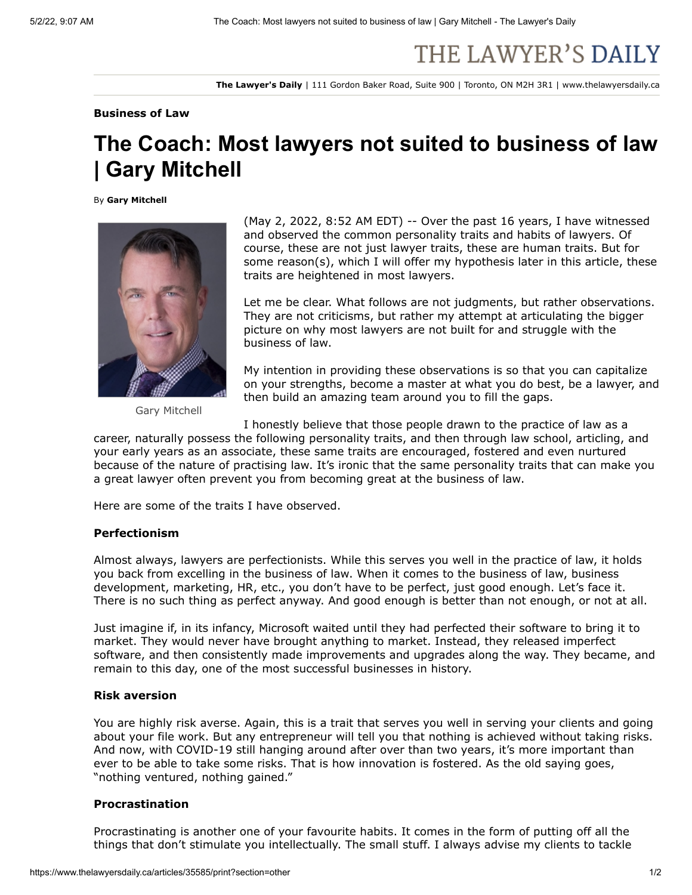# THE LAWYER'S DAILY

**The Lawyer's Daily** | 111 Gordon Baker Road, Suite 900 | Toronto, ON M2H 3R1 | www.thelawyersdaily.ca

#### **Business of Law**

# **The Coach: Most lawyers not suited to business of law | Gary Mitchell**

By **Gary Mitchell**



Gary Mitchell

(May 2, 2022, 8:52 AM EDT) -- Over the past 16 years, I have witnessed and observed the common personality traits and habits of lawyers. Of course, these are not just lawyer traits, these are human traits. But for some reason(s), which I will offer my hypothesis later in this article, these traits are heightened in most lawyers.

Let me be clear. What follows are not judgments, but rather observations. They are not criticisms, but rather my attempt at articulating the bigger picture on why most lawyers are not built for and struggle with the business of law.

My intention in providing these observations is so that you can capitalize on your strengths, become a master at what you do best, be a lawyer, and then build an amazing team around you to fill the gaps.

I honestly believe that those people drawn to the practice of law as a

career, naturally possess the following personality traits, and then through law school, articling, and your early years as an associate, these same traits are encouraged, fostered and even nurtured because of the nature of practising law. It's ironic that the same personality traits that can make you a great lawyer often prevent you from becoming great at the business of law.

Here are some of the traits I have observed.

#### **Perfectionism**

Almost always, lawyers are perfectionists. While this serves you well in the practice of law, it holds you back from excelling in the business of law. When it comes to the business of law, business development, marketing, HR, etc., you don't have to be perfect, just good enough. Let's face it. There is no such thing as perfect anyway. And good enough is better than not enough, or not at all.

Just imagine if, in its infancy, Microsoft waited until they had perfected their software to bring it to market. They would never have brought anything to market. Instead, they released imperfect software, and then consistently made improvements and upgrades along the way. They became, and remain to this day, one of the most successful businesses in history.

# **Risk aversion**

You are highly risk averse. Again, this is a trait that serves you well in serving your clients and going about your file work. But any entrepreneur will tell you that nothing is achieved without taking risks. And now, with COVID-19 still hanging around after over than two years, it's more important than ever to be able to take some risks. That is how innovation is fostered. As the old saying goes, "nothing ventured, nothing gained."

# **Procrastination**

Procrastinating is another one of your favourite habits. It comes in the form of putting off all the things that don't stimulate you intellectually. The small stuff. I always advise my clients to tackle